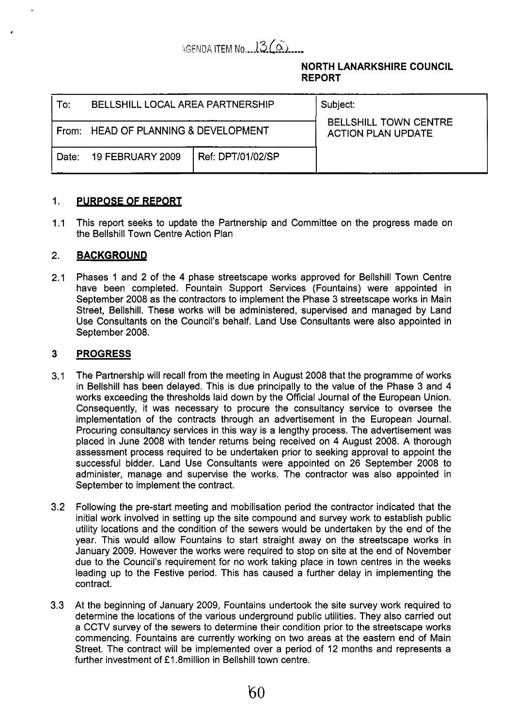# AGENDA ITEM No. 13 (a)

## **NORTH LANARKSHIRE COUNCIL REPORT**

| Tor:  | BELLSHILL LOCAL AREA PARTNERSHIP     |                   | Subject:<br><b>BELLSHILL TOWN CENTRE</b><br><b>ACTION PLAN UPDATE</b> |
|-------|--------------------------------------|-------------------|-----------------------------------------------------------------------|
|       | From: HEAD OF PLANNING & DEVELOPMENT |                   |                                                                       |
| Date: | <b>19 FEBRUARY 2009</b>              | Ref: DPT/01/02/SP |                                                                       |

#### 1. **PURPOSE OF REPORT**

 $1.1$ This report seeks to update the Partnership and Committee on the progress made on the Bellshill Town Centre Action Plan

#### 2. **BACKGROUND**

,

2.1 Phases 1 and 2 of the **4** phase streetscape works approved for Bellshill Town Centre have been completed. Fountain Support Services (Fountains) were appointed in September 2008 as the contractors to implement the Phase 3 streetscape works in Main Street, Bellshill. These works will be administered, supervised and managed by Land Use Consultants on the Council's behalf. Land Use Consultants were also appointed in September 2008.

#### **3 PROGRESS**

- 3.1 The Partnership will recall from the meeting in August 2008 that the programme of works in Bellshill has been delayed. This is due principally to the value of the Phase 3 and **4**  works exceeding the thresholds laid down by the Official Journal of the European Union. Consequently, it was necessary to procure the consultancy service to oversee the implementation of the contracts through an advertisement in the European Journal. Procuring consultancy services in this way is a lengthy process. The advertisement was placed in June 2008 with tender returns being received on **4** August 2008. A thorough assessment process required to be undertaken prior to seeking approval to appoint the successful bidder. Land Use Consultants were appointed on 26 September 2008 to administer, manage and supervise the works. The contractor was also appointed in September to implement the contract.
- 3.2 Following the pre-start meeting and mobilisation period the contractor indicated that the initial work involved in setting up the site compound and survey work to establish public utility locations and the condition of the sewers would be undertaken by the end of the year. This would allow Fountains to start straight away on the streetscape works in January 2009. However the works were required to stop on site at the end of November due to the Council's requirement for no work taking place in town centres in the weeks leading up to the Festive period. This has caused a further delay in implementing the contract.
- **3.3**  At the beginning of January 2009, Fountains undertook the site survey work required to determine the locations of the various underground public utilities. They also carried out a CCTV survey of the sewers to determine their condition prior to the streetscape works commencing. Fountains are currently working on two areas at the eastern end of Main Street. The contract will be implemented over a period of 12 months and represents a further investment of *f* 1.8million in Bellshill town centre.